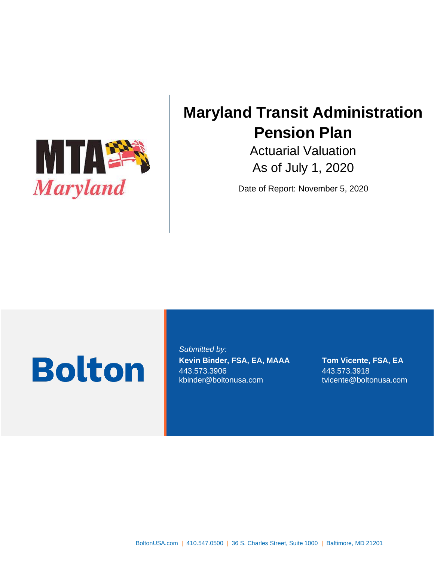

# **Maryland Transit Administration Pension Plan**

Actuarial Valuation As of July 1, 2020

Date of Report: November 5, 2020

# **Bolton**

*Submitted by:* **Kevin Binder, FSA, EA, MAAA Tom Vicente, FSA, EA** 443.573.3906 443.573.3918 kbinder@boltonusa.com tvicente@boltonusa.com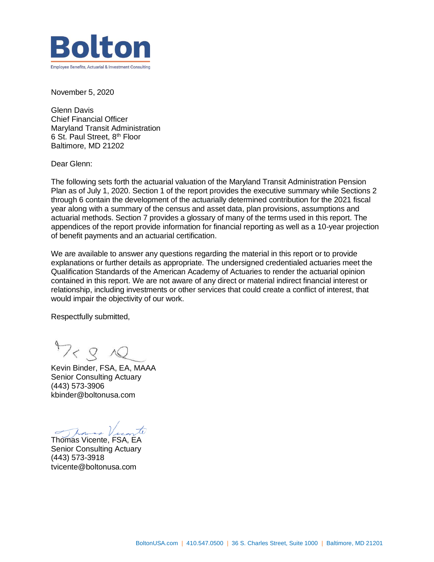

November 5, 2020

Glenn Davis Chief Financial Officer Maryland Transit Administration 6 St. Paul Street, 8th Floor Baltimore, MD 21202

Dear Glenn:

The following sets forth the actuarial valuation of the Maryland Transit Administration Pension Plan as of July 1, 2020. Section 1 of the report provides the executive summary while Sections 2 through 6 contain the development of the actuarially determined contribution for the 2021 fiscal year along with a summary of the census and asset data, plan provisions, assumptions and actuarial methods. Section 7 provides a glossary of many of the terms used in this report. The appendices of the report provide information for financial reporting as well as a 10-year projection of benefit payments and an actuarial certification.

We are available to answer any questions regarding the material in this report or to provide explanations or further details as appropriate. The undersigned credentialed actuaries meet the Qualification Standards of the American Academy of Actuaries to render the actuarial opinion contained in this report. We are not aware of any direct or material indirect financial interest or relationship, including investments or other services that could create a conflict of interest, that would impair the objectivity of our work.

Respectfully submitted,

 $47 < 8$ 

Kevin Binder, FSA, EA, MAAA Senior Consulting Actuary (443) 573-3906 kbinder@boltonusa.com

Thomas Vicente, FSA, EA

Senior Consulting Actuary (443) 573-3918 tvicente@boltonusa.com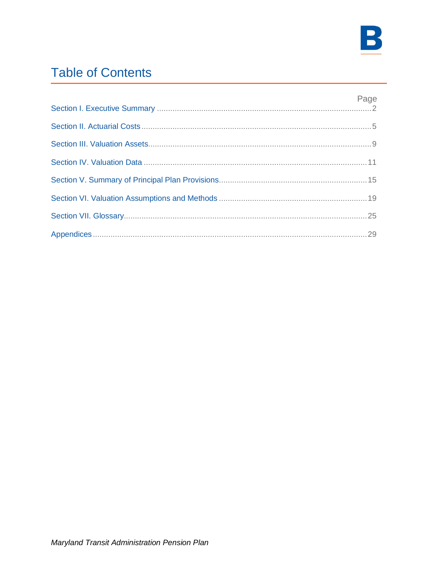

# **Table of Contents**

| Page |
|------|
|      |
|      |
|      |
|      |
|      |
|      |
|      |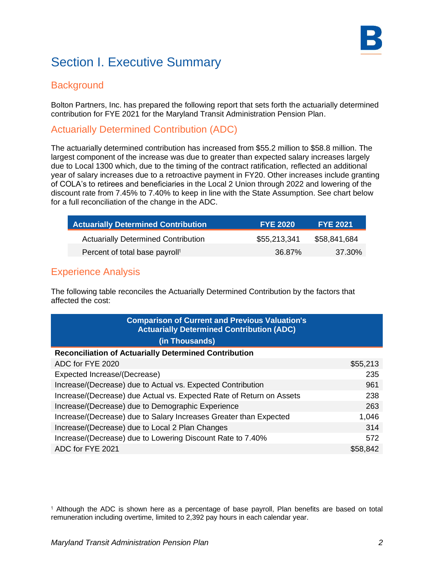

# Section I. Executive Summary

### **Background**

Bolton Partners, Inc. has prepared the following report that sets forth the actuarially determined contribution for FYE 2021 for the Maryland Transit Administration Pension Plan.

### Actuarially Determined Contribution (ADC)

The actuarially determined contribution has increased from \$55.2 million to \$58.8 million. The largest component of the increase was due to greater than expected salary increases largely due to Local 1300 which, due to the timing of the contract ratification, reflected an additional year of salary increases due to a retroactive payment in FY20. Other increases include granting of COLA's to retirees and beneficiaries in the Local 2 Union through 2022 and lowering of the discount rate from 7.45% to 7.40% to keep in line with the State Assumption. See chart below for a full reconciliation of the change in the ADC.

| <b>Actuarially Determined Contribution</b> | <b>FYE 2020</b> | <b>FYE 2021</b> |
|--------------------------------------------|-----------------|-----------------|
| <b>Actuarially Determined Contribution</b> | \$55,213,341    | \$58,841,684    |
| Percent of total base payroll <sup>1</sup> | 36.87%          | 37.30%          |

### Experience Analysis

The following table reconciles the Actuarially Determined Contribution by the factors that affected the cost:

| <b>Comparison of Current and Previous Valuation's</b><br><b>Actuarially Determined Contribution (ADC)</b> |          |
|-----------------------------------------------------------------------------------------------------------|----------|
| (in Thousands)                                                                                            |          |
| <b>Reconciliation of Actuarially Determined Contribution</b>                                              |          |
| ADC for FYE 2020                                                                                          | \$55,213 |
| Expected Increase/(Decrease)                                                                              | 235      |
| Increase/(Decrease) due to Actual vs. Expected Contribution                                               | 961      |
| Increase/(Decrease) due Actual vs. Expected Rate of Return on Assets                                      | 238      |
| Increase/(Decrease) due to Demographic Experience                                                         | 263      |
| Increase/(Decrease) due to Salary Increases Greater than Expected                                         | 1,046    |
| Increase/(Decrease) due to Local 2 Plan Changes                                                           | 314      |
| Increase/(Decrease) due to Lowering Discount Rate to 7.40%                                                | 572      |
| ADC for FYE 2021                                                                                          | \$58,842 |

<sup>1</sup> Although the ADC is shown here as a percentage of base payroll, Plan benefits are based on total remuneration including overtime, limited to 2,392 pay hours in each calendar year.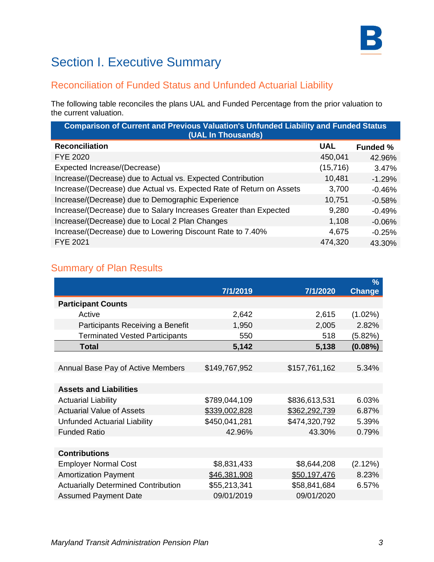

# Section I. Executive Summary

### Reconciliation of Funded Status and Unfunded Actuarial Liability

The following table reconciles the plans UAL and Funded Percentage from the prior valuation to the current valuation.

| <b>Comparison of Current and Previous Valuation's Unfunded Liability and Funded Status</b><br>(UAL In Thousands) |                 |  |  |  |
|------------------------------------------------------------------------------------------------------------------|-----------------|--|--|--|
| <b>UAL</b>                                                                                                       | <b>Funded %</b> |  |  |  |
| 450,041                                                                                                          | 42.96%          |  |  |  |
| (15, 716)                                                                                                        | 3.47%           |  |  |  |
| 10,481                                                                                                           | $-1.29%$        |  |  |  |
| 3,700                                                                                                            | $-0.46%$        |  |  |  |
| 10,751                                                                                                           | $-0.58%$        |  |  |  |
| 9,280                                                                                                            | $-0.49%$        |  |  |  |
| 1,108                                                                                                            | $-0.06%$        |  |  |  |
| 4,675                                                                                                            | $-0.25%$        |  |  |  |
| 474,320                                                                                                          | 43.30%          |  |  |  |
|                                                                                                                  |                 |  |  |  |

### Summary of Plan Results

|                                            |               |               | $\%$       |
|--------------------------------------------|---------------|---------------|------------|
|                                            | 7/1/2019      | 7/1/2020      | Change     |
| <b>Participant Counts</b>                  |               |               |            |
| Active                                     | 2,642         | 2,615         | $(1.02\%)$ |
| Participants Receiving a Benefit           | 1,950         | 2,005         | 2.82%      |
| <b>Terminated Vested Participants</b>      | 550           | 518           | (5.82%)    |
| <b>Total</b>                               | 5,142         | 5,138         | $(0.08\%)$ |
|                                            |               |               |            |
| Annual Base Pay of Active Members          | \$149,767,952 | \$157,761,162 | 5.34%      |
|                                            |               |               |            |
| <b>Assets and Liabilities</b>              |               |               |            |
| <b>Actuarial Liability</b>                 | \$789,044,109 | \$836,613,531 | 6.03%      |
| <b>Actuarial Value of Assets</b>           | \$339,002,828 | \$362,292,739 | 6.87%      |
| <b>Unfunded Actuarial Liability</b>        | \$450,041,281 | \$474,320,792 | 5.39%      |
| <b>Funded Ratio</b>                        | 42.96%        | 43.30%        | 0.79%      |
|                                            |               |               |            |
| <b>Contributions</b>                       |               |               |            |
| <b>Employer Normal Cost</b>                | \$8,831,433   | \$8,644,208   | (2.12%)    |
| <b>Amortization Payment</b>                | \$46,381,908  | \$50,197,476  | 8.23%      |
| <b>Actuarially Determined Contribution</b> | \$55,213,341  | \$58,841,684  | 6.57%      |
| <b>Assumed Payment Date</b>                | 09/01/2019    | 09/01/2020    |            |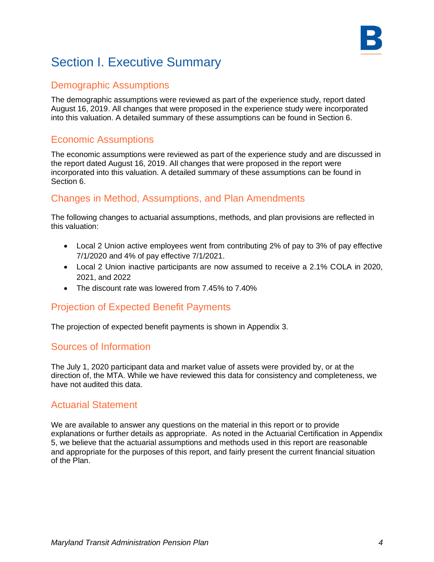# Section I. Executive Summary

### Demographic Assumptions

The demographic assumptions were reviewed as part of the experience study, report dated August 16, 2019. All changes that were proposed in the experience study were incorporated into this valuation. A detailed summary of these assumptions can be found in Section 6.

### Economic Assumptions

The economic assumptions were reviewed as part of the experience study and are discussed in the report dated August 16, 2019. All changes that were proposed in the report were incorporated into this valuation. A detailed summary of these assumptions can be found in Section 6.

### Changes in Method, Assumptions, and Plan Amendments

The following changes to actuarial assumptions, methods, and plan provisions are reflected in this valuation:

- Local 2 Union active employees went from contributing 2% of pay to 3% of pay effective 7/1/2020 and 4% of pay effective 7/1/2021.
- Local 2 Union inactive participants are now assumed to receive a 2.1% COLA in 2020, 2021, and 2022
- The discount rate was lowered from 7.45% to 7.40%

### Projection of Expected Benefit Payments

The projection of expected benefit payments is shown in Appendix 3.

### Sources of Information

The July 1, 2020 participant data and market value of assets were provided by, or at the direction of, the MTA. While we have reviewed this data for consistency and completeness, we have not audited this data.

### Actuarial Statement

We are available to answer any questions on the material in this report or to provide explanations or further details as appropriate. As noted in the Actuarial Certification in Appendix 5, we believe that the actuarial assumptions and methods used in this report are reasonable and appropriate for the purposes of this report, and fairly present the current financial situation of the Plan.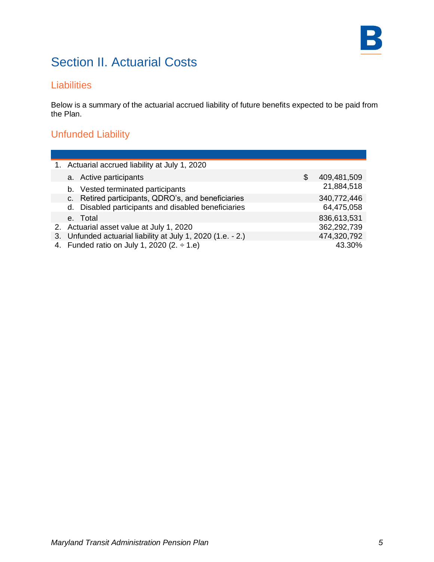

### **Liabilities**

Below is a summary of the actuarial accrued liability of future benefits expected to be paid from the Plan.

## Unfunded Liability

| 1. Actuarial accrued liability at July 1, 2020              |   |             |
|-------------------------------------------------------------|---|-------------|
| a. Active participants                                      | S | 409,481,509 |
| b. Vested terminated participants                           |   | 21,884,518  |
| c. Retired participants, QDRO's, and beneficiaries          |   | 340,772,446 |
| d. Disabled participants and disabled beneficiaries         |   | 64,475,058  |
| e. Total                                                    |   | 836,613,531 |
| 2. Actuarial asset value at July 1, 2020                    |   | 362,292,739 |
| 3. Unfunded actuarial liability at July 1, 2020 (1.e. - 2.) |   | 474,320,792 |
| 4. Funded ratio on July 1, 2020 (2. $\div$ 1.e)             |   | 43.30%      |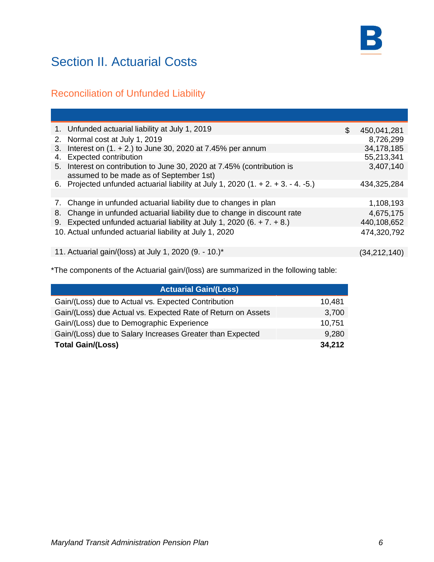

## Reconciliation of Unfunded Liability

|    | 1. Unfunded actuarial liability at July 1, 2019                                                                   | \$<br>450,041,281 |
|----|-------------------------------------------------------------------------------------------------------------------|-------------------|
|    | 2. Normal cost at July 1, 2019                                                                                    | 8,726,299         |
|    | 3. Interest on (1. + 2.) to June 30, 2020 at 7.45% per annum                                                      | 34,178,185        |
| 4. | <b>Expected contribution</b>                                                                                      | 55,213,341        |
|    | 5. Interest on contribution to June 30, 2020 at 7.45% (contribution is<br>assumed to be made as of September 1st) | 3,407,140         |
|    | 6. Projected unfunded actuarial liability at July 1, 2020 $(1. + 2. + 3. - 4. -5.)$                               | 434,325,284       |
|    |                                                                                                                   |                   |
|    | 7. Change in unfunded actuarial liability due to changes in plan                                                  | 1,108,193         |
|    | 8. Change in unfunded actuarial liability due to change in discount rate                                          | 4,675,175         |
|    | 9. Expected unfunded actuarial liability at July 1, 2020 (6. $+ 7. + 8.$ )                                        | 440,108,652       |
|    | 10. Actual unfunded actuarial liability at July 1, 2020                                                           | 474,320,792       |
|    | 11. Actuarial gain/(loss) at July 1, 2020 (9. - 10.)*                                                             | (34, 212, 140)    |

\*The components of the Actuarial gain/(loss) are summarized in the following table:

| <b>Actuarial Gain/(Loss)</b>                                 |        |
|--------------------------------------------------------------|--------|
| Gain/(Loss) due to Actual vs. Expected Contribution          | 10,481 |
| Gain/(Loss) due Actual vs. Expected Rate of Return on Assets | 3,700  |
| Gain/(Loss) due to Demographic Experience                    | 10,751 |
| Gain/(Loss) due to Salary Increases Greater than Expected    | 9,280  |
| <b>Total Gain/(Loss)</b>                                     | 34,212 |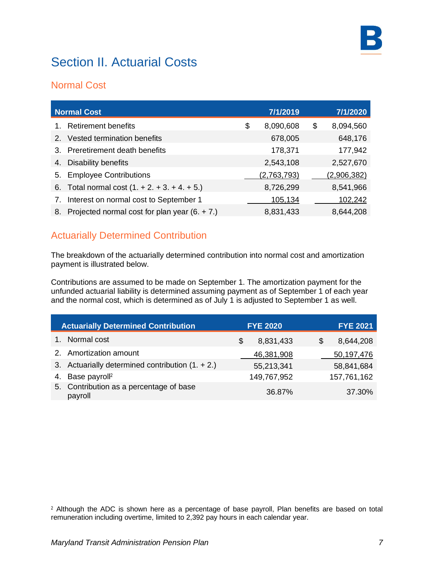

### Normal Cost

|    | <b>Normal Cost</b>                              | 7/1/2019        | 7/1/2020        |
|----|-------------------------------------------------|-----------------|-----------------|
|    | <b>Retirement benefits</b>                      | \$<br>8,090,608 | \$<br>8,094,560 |
| 2. | Vested termination benefits                     | 678,005         | 648,176         |
|    | 3. Preretirement death benefits                 | 178,371         | 177,942         |
| 4. | <b>Disability benefits</b>                      | 2,543,108       | 2,527,670       |
| 5. | <b>Employee Contributions</b>                   | (2,763,793)     | (2,906,382)     |
|    | 6. Total normal cost $(1. + 2. + 3. + 4. + 5.)$ | 8,726,299       | 8,541,966       |
| 7. | Interest on normal cost to September 1          | 105,134         | 102,242         |
| 8. | Projected normal cost for plan year $(6. + 7.)$ | 8,831,433       | 8,644,208       |

### Actuarially Determined Contribution

The breakdown of the actuarially determined contribution into normal cost and amortization payment is illustrated below.

Contributions are assumed to be made on September 1. The amortization payment for the unfunded actuarial liability is determined assuming payment as of September 1 of each year and the normal cost, which is determined as of July 1 is adjusted to September 1 as well.

| <b>Actuarially Determined Contribution</b>         | <b>FYE 2020</b> | <b>FYE 2021</b> |
|----------------------------------------------------|-----------------|-----------------|
| Normal cost                                        | 8,831,433<br>S  | 8,644,208<br>S  |
| 2. Amortization amount                             | 46,381,908      | 50,197,476      |
| 3. Actuarially determined contribution $(1. + 2.)$ | 55,213,341      | 58,841,684      |
| 4. Base payroll <sup>2</sup>                       | 149,767,952     | 157,761,162     |
| 5. Contribution as a percentage of base<br>payroll | 36.87%          | 37.30%          |

<sup>2</sup> Although the ADC is shown here as a percentage of base payroll, Plan benefits are based on total remuneration including overtime, limited to 2,392 pay hours in each calendar year.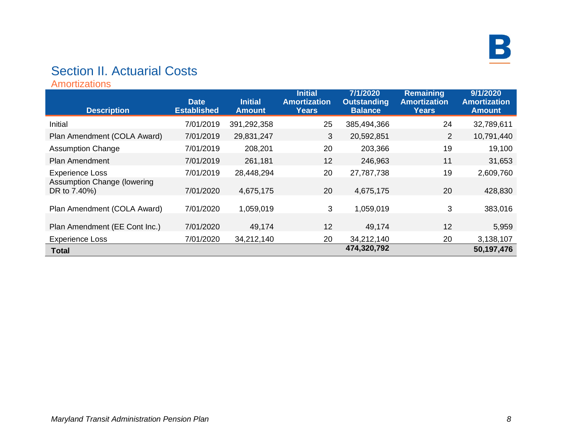

Amortizations

| <b>Description</b>                          | <b>Date</b><br><b>Established</b> | <b>Initial</b><br><b>Amount</b> | <b>Initial</b><br><b>Amortization</b><br><b>Years</b> | 7/1/2020<br><b>Outstanding</b><br><b>Balance</b> | <b>Remaining</b><br><b>Amortization</b><br><b>Years</b> | 9/1/2020<br><b>Amortization</b><br><b>Amount</b> |
|---------------------------------------------|-----------------------------------|---------------------------------|-------------------------------------------------------|--------------------------------------------------|---------------------------------------------------------|--------------------------------------------------|
| Initial                                     | 7/01/2019                         | 391,292,358                     | 25                                                    | 385,494,366                                      | 24                                                      | 32,789,611                                       |
| Plan Amendment (COLA Award)                 | 7/01/2019                         | 29,831,247                      | 3                                                     | 20,592,851                                       | 2                                                       | 10,791,440                                       |
| <b>Assumption Change</b>                    | 7/01/2019                         | 208,201                         | 20                                                    | 203,366                                          | 19                                                      | 19,100                                           |
| <b>Plan Amendment</b>                       | 7/01/2019                         | 261,181                         | 12                                                    | 246,963                                          | 11                                                      | 31,653                                           |
| <b>Experience Loss</b>                      | 7/01/2019                         | 28,448,294                      | 20                                                    | 27,787,738                                       | 19                                                      | 2,609,760                                        |
| Assumption Change (lowering<br>DR to 7.40%) | 7/01/2020                         | 4,675,175                       | 20                                                    | 4,675,175                                        | 20                                                      | 428,830                                          |
| Plan Amendment (COLA Award)                 | 7/01/2020                         | 1,059,019                       | 3                                                     | 1,059,019                                        | 3                                                       | 383,016                                          |
| Plan Amendment (EE Cont Inc.)               | 7/01/2020                         | 49,174                          | 12                                                    | 49,174                                           | 12                                                      | 5,959                                            |
| <b>Experience Loss</b>                      | 7/01/2020                         | 34,212,140                      | 20                                                    | 34,212,140                                       | 20                                                      | 3,138,107                                        |
| <b>Total</b>                                |                                   |                                 |                                                       | 474,320,792                                      |                                                         | 50,197,476                                       |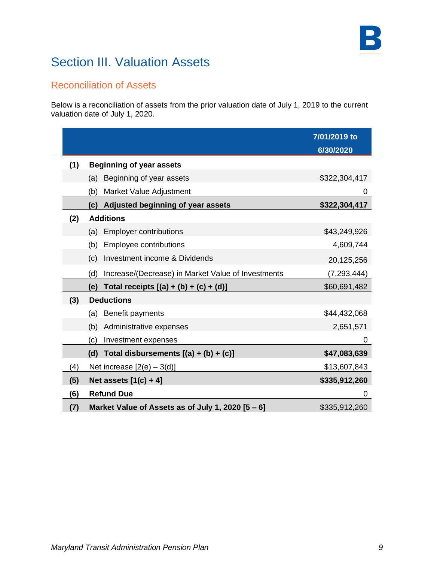# Section III. Valuation Assets

### Reconciliation of Assets

Below is a reconciliation of assets from the prior valuation date of July 1, 2019 to the current valuation date of July 1, 2020.

|                   |                                                           | 7/01/2019 to<br>6/30/2020 |
|-------------------|-----------------------------------------------------------|---------------------------|
| (1)               | <b>Beginning of year assets</b>                           |                           |
|                   | (a) Beginning of year assets                              | \$322,304,417             |
|                   | (b)<br>Market Value Adjustment                            | 0                         |
|                   | (c) Adjusted beginning of year assets                     | \$322,304,417             |
| (2)               | <b>Additions</b>                                          |                           |
|                   | <b>Employer contributions</b><br>(a)                      | \$43,249,926              |
|                   | <b>Employee contributions</b><br>(b)                      | 4,609,744                 |
|                   | Investment income & Dividends<br>(c)                      | 20,125,256                |
|                   | Increase/(Decrease) in Market Value of Investments<br>(d) | (7, 293, 444)             |
|                   | (e) Total receipts $[(a) + (b) + (c) + (d)]$              | \$60,691,482              |
| (3)               | <b>Deductions</b>                                         |                           |
|                   | (a) Benefit payments                                      | \$44,432,068              |
|                   | (b)<br>Administrative expenses                            | 2,651,571                 |
|                   | (c)<br>Investment expenses                                | 0                         |
|                   | (d) Total disbursements [(a) + (b) + (c)]                 | \$47,083,639              |
| $\left( 4\right)$ | Net increase $[2(e) - 3(d)]$                              | \$13,607,843              |
| (5)               | Net assets $[1(c) + 4]$                                   | \$335,912,260             |
| (6)               | <b>Refund Due</b>                                         | 0                         |
| (7)               | Market Value of Assets as of July 1, 2020 [5 - 6]         | \$335,912,260             |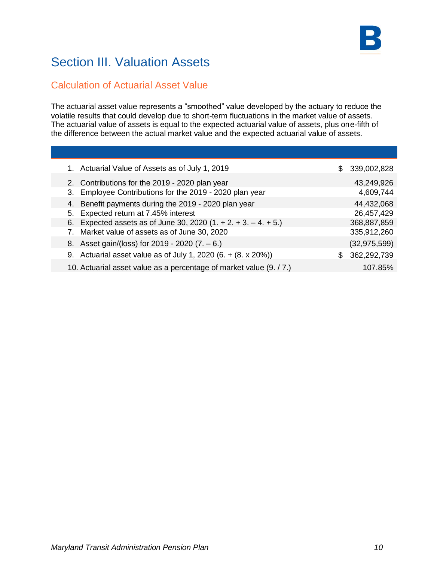# Section III. Valuation Assets

### Calculation of Actuarial Asset Value

The actuarial asset value represents a "smoothed" value developed by the actuary to reduce the volatile results that could develop due to short-term fluctuations in the market value of assets. The actuarial value of assets is equal to the expected actuarial value of assets, plus one-fifth of the difference between the actual market value and the expected actuarial value of assets.

| 1. Actuarial Value of Assets as of July 1, 2019                     | S. | 339,002,828    |
|---------------------------------------------------------------------|----|----------------|
| 2. Contributions for the 2019 - 2020 plan year                      |    | 43,249,926     |
| 3. Employee Contributions for the 2019 - 2020 plan year             |    | 4,609,744      |
| 4. Benefit payments during the 2019 - 2020 plan year                |    | 44,432,068     |
| 5. Expected return at 7.45% interest                                |    | 26,457,429     |
| 6. Expected assets as of June 30, 2020 $(1. + 2. + 3. - 4. + 5.)$   |    | 368,887,859    |
| 7. Market value of assets as of June 30, 2020                       |    | 335,912,260    |
| 8. Asset gain/(loss) for 2019 - 2020 (7. - 6.)                      |    | (32, 975, 599) |
| 9. Actuarial asset value as of July 1, 2020 (6. $+$ (8. x 20%))     | S  | 362,292,739    |
| 10. Actuarial asset value as a percentage of market value (9. / 7.) |    | 107.85%        |
|                                                                     |    |                |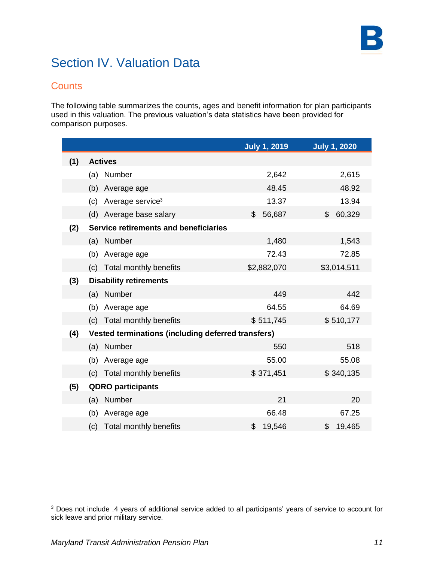# Section IV. Valuation Data

### **Counts**

The following table summarizes the counts, ages and benefit information for plan participants used in this valuation. The previous valuation's data statistics have been provided for comparison purposes.

|     |                                                           | <b>July 1, 2019</b> | <b>July 1, 2020</b> |
|-----|-----------------------------------------------------------|---------------------|---------------------|
| (1) | <b>Actives</b>                                            |                     |                     |
|     | Number<br>(a)                                             | 2,642               | 2,615               |
|     | (b)<br>Average age                                        | 48.45               | 48.92               |
|     | Average service <sup>3</sup><br>(c)                       | 13.37               | 13.94               |
|     | Average base salary<br>(d)                                | 56,687<br>\$        | 60,329<br>\$        |
| (2) | <b>Service retirements and beneficiaries</b>              |                     |                     |
|     | (a) Number                                                | 1,480               | 1,543               |
|     | (b)<br>Average age                                        | 72.43               | 72.85               |
|     | Total monthly benefits<br>(c)                             | \$2,882,070         | \$3,014,511         |
| (3) | <b>Disability retirements</b>                             |                     |                     |
|     | (a) Number                                                | 449                 | 442                 |
|     | Average age<br>(b)                                        | 64.55               | 64.69               |
|     | (c) Total monthly benefits                                | \$511,745           | \$510,177           |
| (4) | <b>Vested terminations (including deferred transfers)</b> |                     |                     |
|     | Number<br>(a)                                             | 550                 | 518                 |
|     | Average age<br>(b)                                        | 55.00               | 55.08               |
|     | Total monthly benefits<br>(c)                             | \$371,451           | \$340,135           |
| (5) | <b>QDRO</b> participants                                  |                     |                     |
|     | Number<br>(a)                                             | 21                  | 20                  |
|     | (b)<br>Average age                                        | 66.48               | 67.25               |
|     | Total monthly benefits<br>(c)                             | \$<br>19,546        | \$<br>19,465        |

<sup>3</sup> Does not include .4 years of additional service added to all participants' years of service to account for sick leave and prior military service.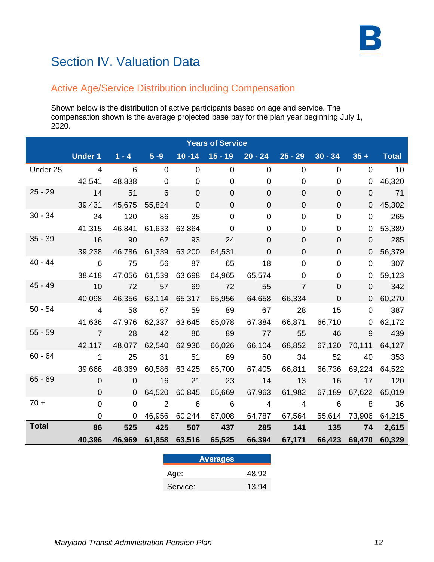# Section IV. Valuation Data

## Active Age/Service Distribution including Compensation

Shown below is the distribution of active participants based on age and service. The compensation shown is the average projected base pay for the plan year beginning July 1, 2020.

|              | <b>Years of Service</b>                                                      |                      |                            |                      |                  |                                                  |                  |                |                      |                          |
|--------------|------------------------------------------------------------------------------|----------------------|----------------------------|----------------------|------------------|--------------------------------------------------|------------------|----------------|----------------------|--------------------------|
|              | Under 1 $1 - 4$ $5 - 9$ 10   -14   15   -19   20   -24   25   -29   30   -34 |                      |                            |                      |                  |                                                  |                  |                |                      | $35 +$ Total             |
| Under 25     | $\overline{4}$                                                               | $\overline{6}$       | $\overline{\phantom{0}}$   | $\overline{0}$       | $\overline{0}$   | $\mathbf{0}$                                     | $\mathbf{0}$     | $\overline{0}$ |                      | $0 \qquad 10$            |
|              |                                                                              | 42,541 48,838        | $\overline{0}$             | $\overline{0}$       | $\Omega$         | $\mathbf 0$                                      | 0                | $\mathbf 0$    | 0                    | 46,320                   |
| $25 - 29$    | $\overline{14}$                                                              | 51                   | 6                          | $\overline{0}$       | $\Omega$         | 0                                                | $\Omega$         | $\overline{0}$ | $\Omega$             | 71                       |
|              | 39,431                                                                       |                      | 45,675 55,824              | $\overline{0}$       | $\Omega$         | $\overline{0}$                                   | $\Omega$         | $\Omega$       | 0                    | 45,302                   |
| $30 - 34$    | 24                                                                           | 120                  | 86                         | 35                   | $\mathbf 0$      | $\overline{0}$                                   | $\Omega$         | $\mathbf 0$    | $\overline{0}$       | 265                      |
|              | 41,315                                                                       |                      | 46,841 61,633              | 63,864               | $\Omega$         | 0                                                | 0                | $\overline{0}$ | 0                    | 53,389                   |
| $35 - 39$    | $\overline{16}$                                                              | 90                   | 62                         | 93                   | 24               | $\Omega$                                         | $\overline{0}$   | $\overline{0}$ |                      | 285<br>$0 \qquad \qquad$ |
|              | 39,238                                                                       |                      | 46,786 61,339 63,200       |                      |                  | 64,531 0                                         | $\overline{0}$   | $\overline{0}$ |                      | 0 56,379                 |
|              | $40 - 44$ 6                                                                  | 75                   | 56                         | 87                   | 65               | $\overline{\phantom{0}}$ 18                      | $\mathbf 0$      | $\mathbf 0$    | $\overline{0}$       | 307                      |
|              | 38,418                                                                       |                      | 47,056 61,539 63,698       |                      | 64,965           | 65,574                                           | $\mathbf 0$      | 0              |                      | 0 59,123                 |
| 45 - 49      | $\sim$ 10                                                                    | 72                   | 57                         | 69                   | $\overline{72}$  | 55                                               | $\overline{7}$   | $\overline{0}$ | $\overline{0}$       | 342                      |
|              | 40,098                                                                       |                      |                            | 46,356 63,114 65,317 | 65,956           | 64,658                                           | 66,334           | $\mathbf 0$    | $\mathbf 0$          | 60,270                   |
| $50 - 54$    | $\overline{4}$                                                               | 58                   | 67 59                      |                      | 89               | 67                                               | $\overline{28}$  | 15             | $\overline{0}$       | 387                      |
|              | 41,636                                                                       |                      | 47,976 62,337 63,645       |                      | 65,078           | 67,384                                           |                  | 66,871 66,710  |                      | $0$ 62,172               |
| $55 - 59$    | $\overline{7}$                                                               | 28                   | 42                         | 86                   | 89               | 77                                               |                  | 55             | 46 — 16              | 9 439                    |
|              | 42,117                                                                       |                      | 48,077 62,540 62,936       |                      | 66,026           | 66,104                                           | 68,852           |                | 67,120 70,111 64,127 |                          |
| $60 - 64$    | $\sim$ 1                                                                     | 25                   | 31                         | 51                   | 69               | 50                                               | 34               | 52             |                      | 40 353                   |
|              | 39,666                                                                       | 48,369 60,586 63,425 |                            |                      | 65,700           | 67,405                                           | 66,811           |                | 66,736 69,224 64,522 |                          |
| $65 - 69$    | $\overline{0}$                                                               | $\overline{0}$       | $\overline{16}$            | 21                   | $\sim$ 23        | $\overline{14}$                                  | $\sim$ 13        | 16             |                      | 17 120                   |
|              | $\overline{0}$                                                               |                      | $0 \quad 64,520$           | 60,845               | 65,669           | 67,963                                           | 61,982           |                | 67,189 67,622 65,019 |                          |
| $70 +$       | $\overline{0}$                                                               | $\overline{0}$       | $\overline{\phantom{a}}$ 2 | $\overline{6}$       | $\overline{6}$   | $\overline{4}$                                   |                  | $4 \t\t 6$     | 8 36                 |                          |
|              | $\Omega$                                                                     |                      | 0 46,956                   |                      |                  | 60,244 67,008 64,787 67,564 55,614 73,906 64,215 |                  |                |                      |                          |
| <b>Total</b> | 86                                                                           | 525                  | 425                        | 507                  | $\overline{437}$ | 285                                              | $\overline{141}$ | 135            |                      | 74 2,615                 |
|              | 40,396                                                                       | 46,969 61,858        |                            |                      |                  | 63,516 65,525 66,394 67,171 66,423 69,470 60,329 |                  |                |                      |                          |

| <b>Averages</b> |       |
|-----------------|-------|
| Age:            | 48.92 |
| Service:        | 13.94 |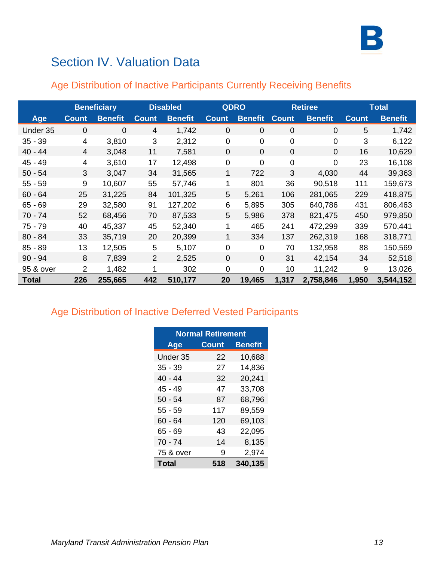

# Section IV. Valuation Data

|              |                | <b>Beneficiary</b> |                | <b>Disabled</b> |                | <b>QDRO</b>    |                | <b>Retiree</b> |              | <b>Total</b>   |
|--------------|----------------|--------------------|----------------|-----------------|----------------|----------------|----------------|----------------|--------------|----------------|
| Age          | <b>Count</b>   | <b>Benefit</b>     | <b>Count</b>   | <b>Benefit</b>  | <b>Count</b>   | <b>Benefit</b> | <b>Count</b>   | <b>Benefit</b> | <b>Count</b> | <b>Benefit</b> |
| Under 35     | $\mathbf 0$    | 0                  | $\overline{4}$ | 1,742           | $\overline{0}$ | $\overline{0}$ | 0              | $\overline{0}$ | 5            | 1,742          |
| $35 - 39$    | 4              | 3,810              | 3              | 2,312           | $\mathbf 0$    | $\mathbf 0$    | $\mathbf 0$    | $\mathbf 0$    | 3            | 6,122          |
| $40 - 44$    | 4              | 3,048              | 11             | 7,581           | $\overline{0}$ | $\Omega$       | $\overline{0}$ | $\overline{0}$ | 16           | 10,629         |
| $45 - 49$    | 4              | 3,610              | 17             | 12,498          | $\mathbf 0$    | $\overline{0}$ | 0              | $\mathbf 0$    | 23           | 16,108         |
| $50 - 54$    | 3              | 3,047              | 34             | 31,565          | 1              | 722            | 3              | 4,030          | 44           | 39,363         |
| $55 - 59$    | 9              | 10,607             | 55             | 57,746          | 1              | 801            | 36             | 90,518         | 111          | 159,673        |
| $60 - 64$    | 25             | 31,225             | 84             | 101,325         | 5              | 5,261          | 106            | 281,065        | 229          | 418,875        |
| $65 - 69$    | 29             | 32,580             | 91             | 127,202         | 6              | 5,895          | 305            | 640,786        | 431          | 806,463        |
| $70 - 74$    | 52             | 68,456             | 70             | 87,533          | 5              | 5,986          | 378            | 821,475        | 450          | 979,850        |
| $75 - 79$    | 40             | 45,337             | 45             | 52,340          |                | 465            | 241            | 472,299        | 339          | 570,441        |
| $80 - 84$    | 33             | 35,719             | 20             | 20,399          | 1              | 334            | 137            | 262,319        | 168          | 318,771        |
| $85 - 89$    | 13             | 12,505             | 5              | 5,107           | $\mathbf 0$    | $\mathbf 0$    | 70             | 132,958        | 88           | 150,569        |
| $90 - 94$    | 8              | 7,839              | 2              | 2,525           | $\Omega$       | $\Omega$       | 31             | 42,154         | 34           | 52,518         |
| 95 & over    | $\overline{2}$ | 1,482              | 1              | 302             | $\Omega$       | $\Omega$       | 10             | 11,242         | 9            | 13,026         |
| <b>Total</b> | 226            | 255,665            | 442            | 510,177         | 20             | 19,465         | 1,317          | 2,758,846      | 1,950        | 3,544,152      |

# Age Distribution of Inactive Participants Currently Receiving Benefits

## Age Distribution of Inactive Deferred Vested Participants

| <b>Normal Retirement</b> |              |                |  |  |  |  |
|--------------------------|--------------|----------------|--|--|--|--|
| <b>Age</b>               | <b>Count</b> | <b>Benefit</b> |  |  |  |  |
| Under 35                 | 22           | 10,688         |  |  |  |  |
| $35 - 39$                | 27           | 14,836         |  |  |  |  |
| 40 - 44                  | 32           | 20,241         |  |  |  |  |
| 45 - 49                  | 47           | 33,708         |  |  |  |  |
| $50 - 54$                | 87           | 68,796         |  |  |  |  |
| $55 - 59$                | 117          | 89,559         |  |  |  |  |
| $60 - 64$                | 120          | 69,103         |  |  |  |  |
| 65 - 69                  | 43           | 22,095         |  |  |  |  |
| $70 - 74$                | 14           | 8,135          |  |  |  |  |
| 75 & over                | -9           | 2,974          |  |  |  |  |
| Total                    | 518          | 340,135        |  |  |  |  |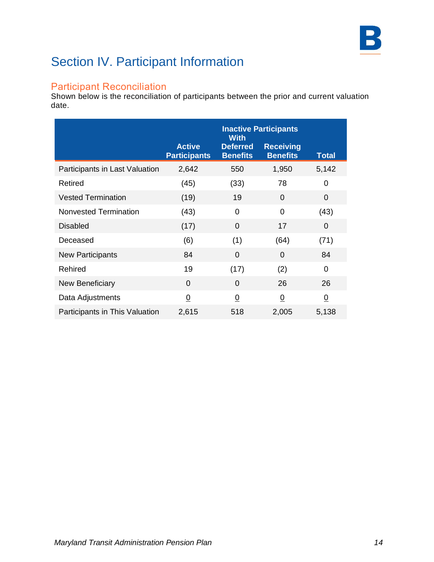

# Section IV. Participant Information

### Participant Reconciliation

Shown below is the reconciliation of participants between the prior and current valuation date.

|                                |                                      | <b>Inactive Participants</b><br><b>With</b> |                                     |                |
|--------------------------------|--------------------------------------|---------------------------------------------|-------------------------------------|----------------|
|                                | <b>Active</b><br><b>Participants</b> | <b>Deferred</b><br><b>Benefits</b>          | <b>Receiving</b><br><b>Benefits</b> | <b>Total</b>   |
| Participants in Last Valuation | 2,642                                | 550                                         | 1,950                               | 5,142          |
| Retired                        | (45)                                 | (33)                                        | 78                                  | 0              |
| <b>Vested Termination</b>      | (19)                                 | 19                                          | 0                                   | 0              |
| <b>Nonvested Termination</b>   | (43)                                 | 0                                           | 0                                   | (43)           |
| <b>Disabled</b>                | (17)                                 | $\overline{0}$                              | 17                                  | 0              |
| Deceased                       | (6)                                  | (1)                                         | (64)                                | (71)           |
| <b>New Participants</b>        | 84                                   | $\Omega$                                    | $\Omega$                            | 84             |
| Rehired                        | 19                                   | (17)                                        | (2)                                 | $\Omega$       |
| <b>New Beneficiary</b>         | $\Omega$                             | $\Omega$                                    | 26                                  | 26             |
| Data Adjustments               | $\overline{0}$                       | $\overline{0}$                              | $\overline{0}$                      | $\overline{0}$ |
| Participants in This Valuation | 2,615                                | 518                                         | 2,005                               | 5,138          |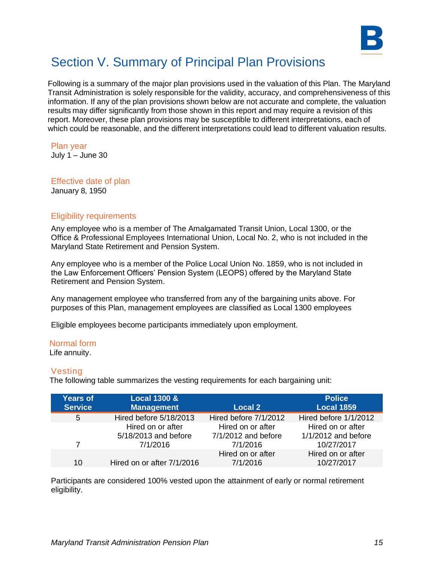

Following is a summary of the major plan provisions used in the valuation of this Plan. The Maryland Transit Administration is solely responsible for the validity, accuracy, and comprehensiveness of this information. If any of the plan provisions shown below are not accurate and complete, the valuation results may differ significantly from those shown in this report and may require a revision of this report. Moreover, these plan provisions may be susceptible to different interpretations, each of which could be reasonable, and the different interpretations could lead to different valuation results.

#### Plan year

July  $1 -$  June 30

# Effective date of plan

January 8, 1950

#### Eligibility requirements

Any employee who is a member of The Amalgamated Transit Union, Local 1300, or the Office & Professional Employees International Union, Local No. 2, who is not included in the Maryland State Retirement and Pension System.

Any employee who is a member of the Police Local Union No. 1859, who is not included in the Law Enforcement Officers' Pension System (LEOPS) offered by the Maryland State Retirement and Pension System.

Any management employee who transferred from any of the bargaining units above. For purposes of this Plan, management employees are classified as Local 1300 employees

Eligible employees become participants immediately upon employment.

#### Normal form

Life annuity.

#### Vesting

The following table summarizes the vesting requirements for each bargaining unit:

| <b>Years of</b> | <b>Local 1300 &amp;</b>    |                       | <b>Police</b>         |
|-----------------|----------------------------|-----------------------|-----------------------|
| <b>Service</b>  | <b>Management</b>          | Local 2               | <b>Local 1859</b>     |
| 5               | Hired before 5/18/2013     | Hired before 7/1/2012 | Hired before 1/1/2012 |
|                 | Hired on or after          | Hired on or after     | Hired on or after     |
|                 | 5/18/2013 and before       | 7/1/2012 and before   | 1/1/2012 and before   |
| 7               | 7/1/2016                   | 7/1/2016              | 10/27/2017            |
|                 |                            | Hired on or after     | Hired on or after     |
| 10              | Hired on or after 7/1/2016 | 7/1/2016              | 10/27/2017            |

Participants are considered 100% vested upon the attainment of early or normal retirement eligibility.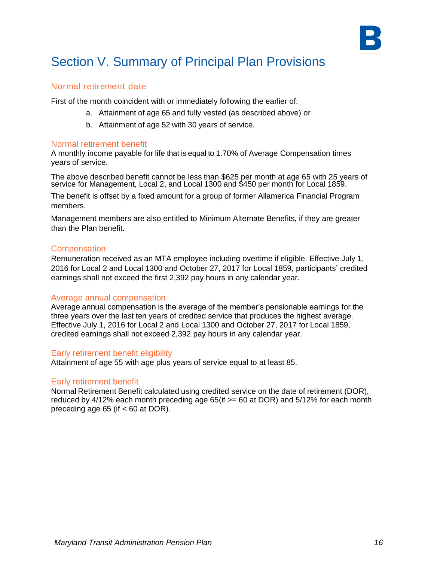

#### Normal retirement date

First of the month coincident with or immediately following the earlier of:

- a. Attainment of age 65 and fully vested (as described above) or
- b. Attainment of age 52 with 30 years of service.

#### Normal retirement benefit

A monthly income payable for life that is equal to 1.70% of Average Compensation times years of service.

The above described benefit cannot be less than \$625 per month at age 65 with 25 years of service for Management, Local 2, and Local 1300 and \$450 per month for Local 1859.

The benefit is offset by a fixed amount for a group of former Allamerica Financial Program members.

Management members are also entitled to Minimum Alternate Benefits, if they are greater than the Plan benefit.

#### **Compensation**

Remuneration received as an MTA employee including overtime if eligible. Effective July 1, 2016 for Local 2 and Local 1300 and October 27, 2017 for Local 1859, participants' credited earnings shall not exceed the first 2,392 pay hours in any calendar year.

#### Average annual compensation

Average annual compensation is the average of the member's pensionable earnings for the three years over the last ten years of credited service that produces the highest average. Effective July 1, 2016 for Local 2 and Local 1300 and October 27, 2017 for Local 1859, credited earnings shall not exceed 2,392 pay hours in any calendar year.

#### Early retirement benefit eligibility

Attainment of age 55 with age plus years of service equal to at least 85.

#### Early retirement benefit

Normal Retirement Benefit calculated using credited service on the date of retirement (DOR), reduced by  $4/12\%$  each month preceding age 65(if  $>= 60$  at DOR) and 5/12% for each month preceding age 65 (if < 60 at DOR).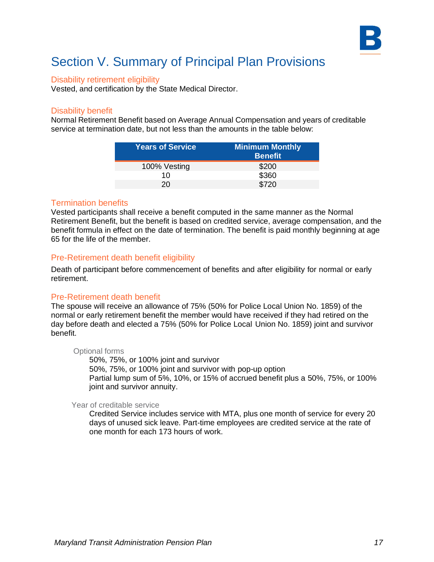

#### Disability retirement eligibility

Vested, and certification by the State Medical Director.

#### Disability benefit

Normal Retirement Benefit based on Average Annual Compensation and years of creditable service at termination date, but not less than the amounts in the table below:

| <b>Years of Service</b> | <b>Minimum Monthly</b><br><b>Benefit</b> |
|-------------------------|------------------------------------------|
| 100% Vesting            | \$200                                    |
| 10                      | \$360                                    |
| 20.                     | \$720                                    |

#### Termination benefits

Vested participants shall receive a benefit computed in the same manner as the Normal Retirement Benefit, but the benefit is based on credited service, average compensation, and the benefit formula in effect on the date of termination. The benefit is paid monthly beginning at age 65 for the life of the member.

#### Pre-Retirement death benefit eligibility

Death of participant before commencement of benefits and after eligibility for normal or early retirement.

#### Pre-Retirement death benefit

The spouse will receive an allowance of 75% (50% for Police Local Union No. 1859) of the normal or early retirement benefit the member would have received if they had retired on the day before death and elected a 75% (50% for Police Local Union No. 1859) joint and survivor benefit.

#### Optional forms

50%, 75%, or 100% joint and survivor 50%, 75%, or 100% joint and survivor with pop-up option Partial lump sum of 5%, 10%, or 15% of accrued benefit plus a 50%, 75%, or 100% joint and survivor annuity.

#### Year of creditable service

Credited Service includes service with MTA, plus one month of service for every 20 days of unused sick leave. Part-time employees are credited service at the rate of one month for each 173 hours of work.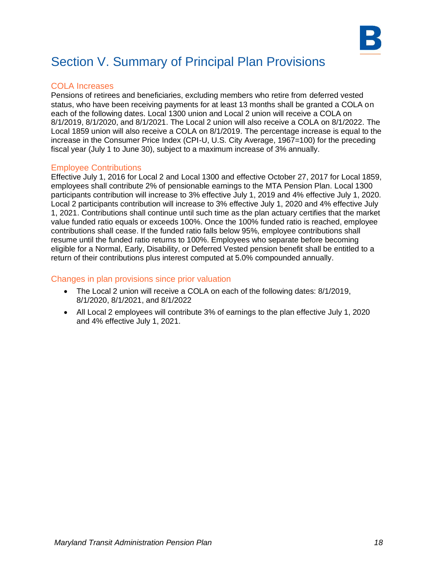

#### COLA Increases

Pensions of retirees and beneficiaries, excluding members who retire from deferred vested status, who have been receiving payments for at least 13 months shall be granted a COLA on each of the following dates. Local 1300 union and Local 2 union will receive a COLA on 8/1/2019, 8/1/2020, and 8/1/2021. The Local 2 union will also receive a COLA on 8/1/2022. The Local 1859 union will also receive a COLA on 8/1/2019. The percentage increase is equal to the increase in the Consumer Price Index (CPI-U, U.S. City Average, 1967=100) for the preceding fiscal year (July 1 to June 30), subject to a maximum increase of 3% annually.

#### Employee Contributions

Effective July 1, 2016 for Local 2 and Local 1300 and effective October 27, 2017 for Local 1859, employees shall contribute 2% of pensionable earnings to the MTA Pension Plan. Local 1300 participants contribution will increase to 3% effective July 1, 2019 and 4% effective July 1, 2020. Local 2 participants contribution will increase to 3% effective July 1, 2020 and 4% effective July 1, 2021. Contributions shall continue until such time as the plan actuary certifies that the market value funded ratio equals or exceeds 100%. Once the 100% funded ratio is reached, employee contributions shall cease. If the funded ratio falls below 95%, employee contributions shall resume until the funded ratio returns to 100%. Employees who separate before becoming eligible for a Normal, Early, Disability, or Deferred Vested pension benefit shall be entitled to a return of their contributions plus interest computed at 5.0% compounded annually.

#### Changes in plan provisions since prior valuation

- The Local 2 union will receive a COLA on each of the following dates: 8/1/2019, 8/1/2020, 8/1/2021, and 8/1/2022
- All Local 2 employees will contribute 3% of earnings to the plan effective July 1, 2020 and 4% effective July 1, 2021.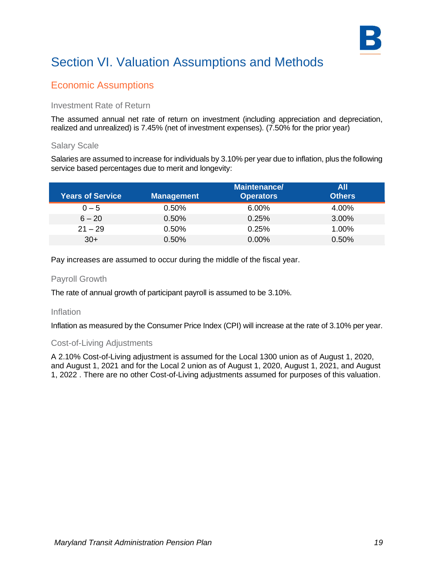

### Economic Assumptions

#### Investment Rate of Return

The assumed annual net rate of return on investment (including appreciation and depreciation, realized and unrealized) is 7.45% (net of investment expenses). (7.50% for the prior year)

#### Salary Scale

Salaries are assumed to increase for individuals by 3.10% per year due to inflation, plus the following service based percentages due to merit and longevity:

| <b>Years of Service</b> | <b>Management</b> | <b>Maintenance/</b><br><b>Operators</b> | All<br><b>Others</b> |
|-------------------------|-------------------|-----------------------------------------|----------------------|
| $0 - 5$                 | $0.50\%$          | 6.00%                                   | 4.00%                |
| $6 - 20$                | 0.50%             | 0.25%                                   | 3.00%                |
| $21 - 29$               | 0.50%             | 0.25%                                   | 1.00%                |
| $30+$                   | 0.50%             | $0.00\%$                                | 0.50%                |

Pay increases are assumed to occur during the middle of the fiscal year.

#### Payroll Growth

The rate of annual growth of participant payroll is assumed to be 3.10%.

#### Inflation

Inflation as measured by the Consumer Price Index (CPI) will increase at the rate of 3.10% per year.

#### Cost-of-Living Adjustments

A 2.10% Cost-of-Living adjustment is assumed for the Local 1300 union as of August 1, 2020, and August 1, 2021 and for the Local 2 union as of August 1, 2020, August 1, 2021, and August 1, 2022 . There are no other Cost-of-Living adjustments assumed for purposes of this valuation.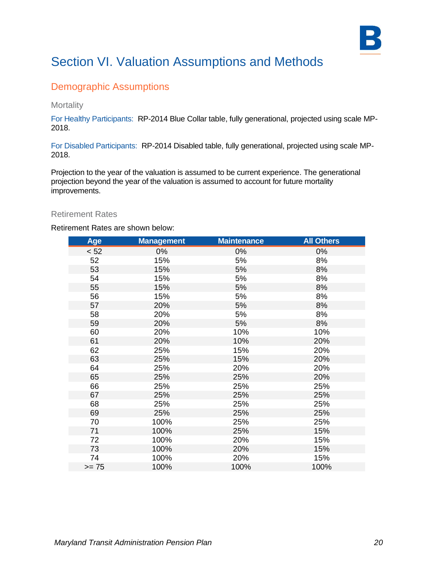

### Demographic Assumptions

#### **Mortality**

For Healthy Participants:RP-2014 Blue Collar table, fully generational, projected using scale MP-2018.

For Disabled Participants: RP-2014 Disabled table, fully generational, projected using scale MP-2018.

Projection to the year of the valuation is assumed to be current experience. The generational projection beyond the year of the valuation is assumed to account for future mortality improvements.

#### Retirement Rates

Retirement Rates are shown below:

| Age     | <b>Management</b> | <b>Maintenance</b> | <b>All Others</b> |
|---------|-------------------|--------------------|-------------------|
| < 52    | $0\%$             | 0%                 | 0%                |
| 52      | 15%               | 5%                 | 8%                |
| 53      | 15%               | 5%                 | 8%                |
| 54      | 15%               | 5%                 | 8%                |
| 55      | 15%               | 5%                 | 8%                |
| 56      | 15%               | 5%                 | 8%                |
| 57      | 20%               | 5%                 | 8%                |
| 58      | 20%               | 5%                 | 8%                |
| 59      | 20%               | 5%                 | 8%                |
| 60      | 20%               | 10%                | 10%               |
| 61      | 20%               | 10%                | 20%               |
| 62      | 25%               | 15%                | 20%               |
| 63      | 25%               | 15%                | 20%               |
| 64      | 25%               | 20%                | 20%               |
| 65      | 25%               | 25%                | 20%               |
| 66      | 25%               | 25%                | 25%               |
| 67      | 25%               | 25%                | 25%               |
| 68      | 25%               | 25%                | 25%               |
| 69      | 25%               | 25%                | 25%               |
| 70      | 100%              | 25%                | 25%               |
| 71      | 100%              | 25%                | 15%               |
| 72      | 100%              | 20%                | 15%               |
| 73      | 100%              | 20%                | 15%               |
| 74      | 100%              | 20%                | 15%               |
| $>= 75$ | 100%              | 100%               | 100%              |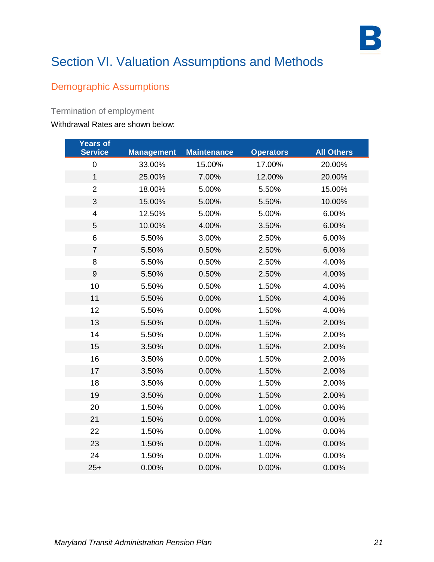

## Demographic Assumptions

### Termination of employment

#### Withdrawal Rates are shown below:

| Years of<br><b>Service</b> | <b>Management</b> | <b>Maintenance</b> | <b>Operators</b> | <b>All Others</b> |
|----------------------------|-------------------|--------------------|------------------|-------------------|
| $\pmb{0}$                  |                   |                    |                  |                   |
|                            | 33.00%            | 15.00%             | 17.00%           | 20.00%            |
| 1                          | 25.00%            | 7.00%              | 12.00%           | 20.00%            |
| $\overline{2}$             | 18.00%            | 5.00%              | 5.50%            | 15.00%            |
| 3                          | 15.00%            | 5.00%              | 5.50%            | 10.00%            |
| $\overline{\mathbf{4}}$    | 12.50%            | 5.00%              | 5.00%            | 6.00%             |
| 5                          | 10.00%            | 4.00%              | 3.50%            | 6.00%             |
| 6                          | 5.50%             | 3.00%              | 2.50%            | 6.00%             |
| $\overline{7}$             | 5.50%             | 0.50%              | 2.50%            | 6.00%             |
| 8                          | 5.50%             | 0.50%              | 2.50%            | 4.00%             |
| $\boldsymbol{9}$           | 5.50%             | 0.50%              | 2.50%            | 4.00%             |
| 10                         | 5.50%             | 0.50%              | 1.50%            | 4.00%             |
| 11                         | 5.50%             | 0.00%              | 1.50%            | 4.00%             |
| 12                         | 5.50%             | 0.00%              | 1.50%            | 4.00%             |
| 13                         | 5.50%             | 0.00%              | 1.50%            | 2.00%             |
| 14                         | 5.50%             | 0.00%              | 1.50%            | 2.00%             |
| 15                         | 3.50%             | 0.00%              | 1.50%            | 2.00%             |
| 16                         | 3.50%             | 0.00%              | 1.50%            | 2.00%             |
| 17                         | 3.50%             | 0.00%              | 1.50%            | 2.00%             |
| 18                         | 3.50%             | 0.00%              | 1.50%            | 2.00%             |
| 19                         | 3.50%             | 0.00%              | 1.50%            | 2.00%             |
| 20                         | 1.50%             | 0.00%              | 1.00%            | 0.00%             |
| 21                         | 1.50%             | 0.00%              | 1.00%            | 0.00%             |
| 22                         | 1.50%             | 0.00%              | 1.00%            | 0.00%             |
| 23                         | 1.50%             | 0.00%              | 1.00%            | 0.00%             |
| 24                         | 1.50%             | 0.00%              | 1.00%            | 0.00%             |
| $25+$                      | 0.00%             | 0.00%              | 0.00%            | 0.00%             |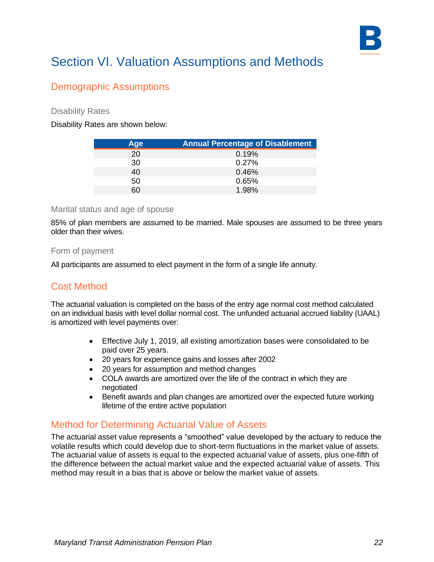

### Demographic Assumptions

Disability Rates

Disability Rates are shown below:

| Age | <b>Annual Percentage of Disablement</b> |
|-----|-----------------------------------------|
| 20  | 0.19%                                   |
| 30  | 0.27%                                   |
| 40  | 0.46%                                   |
| 50  | 0.65%                                   |
| 60  | 1.98%                                   |

#### Marital status and age of spouse

85% of plan members are assumed to be married. Male spouses are assumed to be three years older than their wives.

#### Form of payment

All participants are assumed to elect payment in the form of a single life annuity.

### Cost Method

The actuarial valuation is completed on the basis of the entry age normal cost method calculated on an individual basis with level dollar normal cost. The unfunded actuarial accrued liability (UAAL) is amortized with level payments over:

- Effective July 1, 2019, all existing amortization bases were consolidated to be paid over 25 years.
- 20 years for experience gains and losses after 2002
- 20 years for assumption and method changes
- COLA awards are amortized over the life of the contract in which they are negotiated
- Benefit awards and plan changes are amortized over the expected future working lifetime of the entire active population

### Method for Determining Actuarial Value of Assets

The actuarial asset value represents a "smoothed" value developed by the actuary to reduce the volatile results which could develop due to short-term fluctuations in the market value of assets. The actuarial value of assets is equal to the expected actuarial value of assets, plus one-fifth of the difference between the actual market value and the expected actuarial value of assets. This method may result in a bias that is above or below the market value of assets.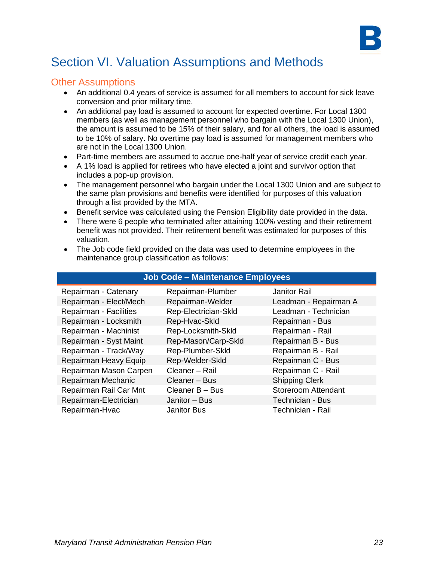

#### Other Assumptions

- An additional 0.4 years of service is assumed for all members to account for sick leave conversion and prior military time.
- An additional pay load is assumed to account for expected overtime. For Local 1300 members (as well as management personnel who bargain with the Local 1300 Union), the amount is assumed to be 15% of their salary, and for all others, the load is assumed to be 10% of salary. No overtime pay load is assumed for management members who are not in the Local 1300 Union.
- Part-time members are assumed to accrue one-half year of service credit each year.
- A 1% load is applied for retirees who have elected a joint and survivor option that includes a pop-up provision.
- The management personnel who bargain under the Local 1300 Union and are subject to the same plan provisions and benefits were identified for purposes of this valuation through a list provided by the MTA.
- Benefit service was calculated using the Pension Eligibility date provided in the data.
- There were 6 people who terminated after attaining 100% vesting and their retirement benefit was not provided. Their retirement benefit was estimated for purposes of this valuation.
- The Job code field provided on the data was used to determine employees in the maintenance group classification as follows:

| <b>Job Code - Maintenance Employees</b> |                      |                            |  |  |
|-----------------------------------------|----------------------|----------------------------|--|--|
| Repairman - Catenary                    | Repairman-Plumber    | <b>Janitor Rail</b>        |  |  |
| Repairman - Elect/Mech                  | Repairman-Welder     | Leadman - Repairman A      |  |  |
| Repairman - Facilities                  | Rep-Electrician-Skld | Leadman - Technician       |  |  |
| Repairman - Locksmith                   | Rep-Hvac-Skld        | Repairman - Bus            |  |  |
| Repairman - Machinist                   | Rep-Locksmith-Skld   | Repairman - Rail           |  |  |
| Repairman - Syst Maint                  | Rep-Mason/Carp-Skld  | Repairman B - Bus          |  |  |
| Repairman - Track/Way                   | Rep-Plumber-Skld     | Repairman B - Rail         |  |  |
| Repairman Heavy Equip                   | Rep-Welder-Skld      | Repairman C - Bus          |  |  |
| Repairman Mason Carpen                  | Cleaner - Rail       | Repairman C - Rail         |  |  |
| Repairman Mechanic                      | Cleaner – Bus        | <b>Shipping Clerk</b>      |  |  |
| Repairman Rail Car Mnt                  | Cleaner B - Bus      | <b>Storeroom Attendant</b> |  |  |
| Repairman-Electrician                   | Janitor - Bus        | Technician - Bus           |  |  |
| Repairman-Hvac                          | <b>Janitor Bus</b>   | Technician - Rail          |  |  |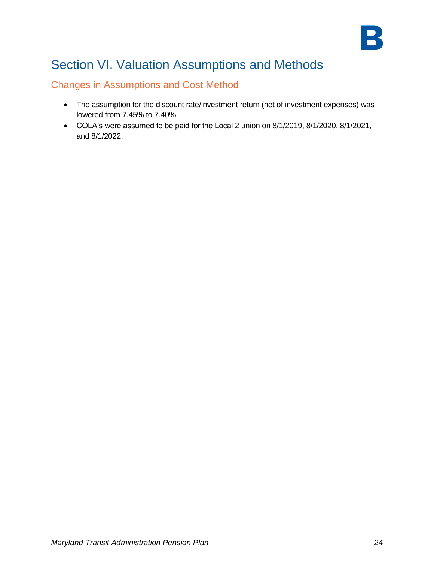

### Changes in Assumptions and Cost Method

- The assumption for the discount rate/investment return (net of investment expenses) was lowered from 7.45% to 7.40%.
- COLA's were assumed to be paid for the Local 2 union on 8/1/2019, 8/1/2020, 8/1/2021, and 8/1/2022.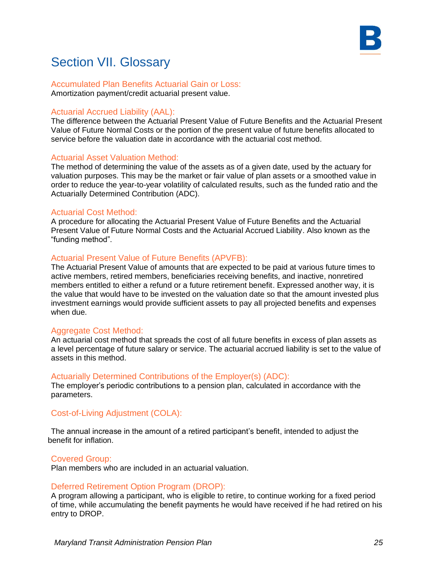

#### Accumulated Plan Benefits Actuarial Gain or Loss: Amortization payment/credit actuarial present value.

#### Actuarial Accrued Liability (AAL):

The difference between the Actuarial Present Value of Future Benefits and the Actuarial Present Value of Future Normal Costs or the portion of the present value of future benefits allocated to service before the valuation date in accordance with the actuarial cost method.

#### Actuarial Asset Valuation Method:

The method of determining the value of the assets as of a given date, used by the actuary for valuation purposes. This may be the market or fair value of plan assets or a smoothed value in order to reduce the year-to-year volatility of calculated results, such as the funded ratio and the Actuarially Determined Contribution (ADC).

#### Actuarial Cost Method:

A procedure for allocating the Actuarial Present Value of Future Benefits and the Actuarial Present Value of Future Normal Costs and the Actuarial Accrued Liability. Also known as the "funding method".

#### Actuarial Present Value of Future Benefits (APVFB):

The Actuarial Present Value of amounts that are expected to be paid at various future times to active members, retired members, beneficiaries receiving benefits, and inactive, nonretired members entitled to either a refund or a future retirement benefit. Expressed another way, it is the value that would have to be invested on the valuation date so that the amount invested plus investment earnings would provide sufficient assets to pay all projected benefits and expenses when due.

#### Aggregate Cost Method:

An actuarial cost method that spreads the cost of all future benefits in excess of plan assets as a level percentage of future salary or service. The actuarial accrued liability is set to the value of assets in this method.

#### Actuarially Determined Contributions of the Employer(s) (ADC):

The employer's periodic contributions to a pension plan, calculated in accordance with the parameters.

#### Cost-of-Living Adjustment (COLA):

The annual increase in the amount of a retired participant's benefit, intended to adjust the benefit for inflation.

#### Covered Group:

Plan members who are included in an actuarial valuation.

#### Deferred Retirement Option Program (DROP):

A program allowing a participant, who is eligible to retire, to continue working for a fixed period of time, while accumulating the benefit payments he would have received if he had retired on his entry to DROP.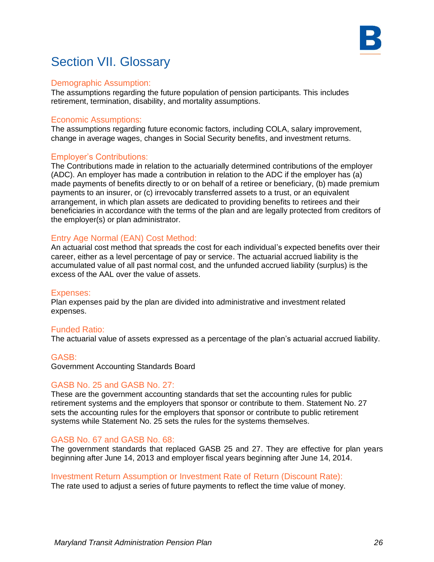

#### Demographic Assumption:

The assumptions regarding the future population of pension participants. This includes retirement, termination, disability, and mortality assumptions.

#### Economic Assumptions:

The assumptions regarding future economic factors, including COLA, salary improvement, change in average wages, changes in Social Security benefits, and investment returns.

#### Employer's Contributions:

The Contributions made in relation to the actuarially determined contributions of the employer (ADC). An employer has made a contribution in relation to the ADC if the employer has (a) made payments of benefits directly to or on behalf of a retiree or beneficiary, (b) made premium payments to an insurer, or (c) irrevocably transferred assets to a trust, or an equivalent arrangement, in which plan assets are dedicated to providing benefits to retirees and their beneficiaries in accordance with the terms of the plan and are legally protected from creditors of the employer(s) or plan administrator.

#### Entry Age Normal (EAN) Cost Method:

An actuarial cost method that spreads the cost for each individual's expected benefits over their career, either as a level percentage of pay or service. The actuarial accrued liability is the accumulated value of all past normal cost, and the unfunded accrued liability (surplus) is the excess of the AAL over the value of assets.

#### Expenses:

Plan expenses paid by the plan are divided into administrative and investment related expenses.

#### Funded Ratio:

The actuarial value of assets expressed as a percentage of the plan's actuarial accrued liability.

#### GASB:

Government Accounting Standards Board

#### GASB No. 25 and GASB No. 27:

These are the government accounting standards that set the accounting rules for public retirement systems and the employers that sponsor or contribute to them. Statement No. 27 sets the accounting rules for the employers that sponsor or contribute to public retirement systems while Statement No. 25 sets the rules for the systems themselves.

#### GASB No. 67 and GASB No. 68:

The government standards that replaced GASB 25 and 27. They are effective for plan years beginning after June 14, 2013 and employer fiscal years beginning after June 14, 2014.

#### Investment Return Assumption or Investment Rate of Return (Discount Rate):

The rate used to adjust a series of future payments to reflect the time value of money.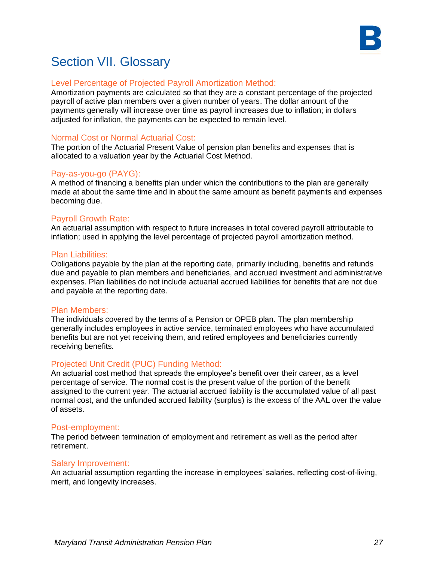

#### Level Percentage of Projected Payroll Amortization Method:

Amortization payments are calculated so that they are a constant percentage of the projected payroll of active plan members over a given number of years. The dollar amount of the payments generally will increase over time as payroll increases due to inflation; in dollars adjusted for inflation, the payments can be expected to remain level.

#### Normal Cost or Normal Actuarial Cost:

The portion of the Actuarial Present Value of pension plan benefits and expenses that is allocated to a valuation year by the Actuarial Cost Method.

#### Pay-as-you-go (PAYG):

A method of financing a benefits plan under which the contributions to the plan are generally made at about the same time and in about the same amount as benefit payments and expenses becoming due.

#### Payroll Growth Rate:

An actuarial assumption with respect to future increases in total covered payroll attributable to inflation; used in applying the level percentage of projected payroll amortization method.

#### Plan Liabilities:

Obligations payable by the plan at the reporting date, primarily including, benefits and refunds due and payable to plan members and beneficiaries, and accrued investment and administrative expenses. Plan liabilities do not include actuarial accrued liabilities for benefits that are not due and payable at the reporting date.

#### Plan Members:

The individuals covered by the terms of a Pension or OPEB plan. The plan membership generally includes employees in active service, terminated employees who have accumulated benefits but are not yet receiving them, and retired employees and beneficiaries currently receiving benefits.

#### Projected Unit Credit (PUC) Funding Method:

An actuarial cost method that spreads the employee's benefit over their career, as a level percentage of service. The normal cost is the present value of the portion of the benefit assigned to the current year. The actuarial accrued liability is the accumulated value of all past normal cost, and the unfunded accrued liability (surplus) is the excess of the AAL over the value of assets.

#### Post-employment:

The period between termination of employment and retirement as well as the period after retirement.

#### Salary Improvement:

An actuarial assumption regarding the increase in employees' salaries, reflecting cost-of-living, merit, and longevity increases.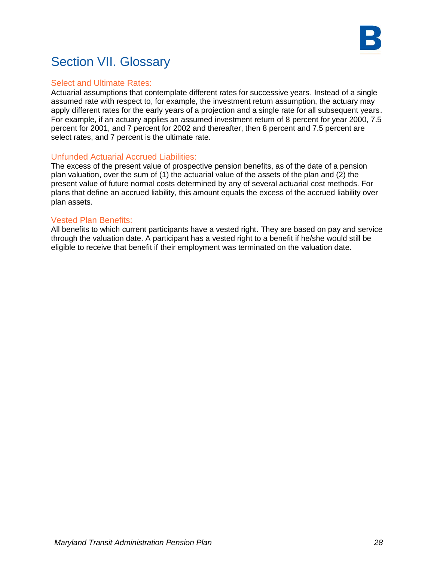

#### Select and Ultimate Rates:

Actuarial assumptions that contemplate different rates for successive years. Instead of a single assumed rate with respect to, for example, the investment return assumption, the actuary may apply different rates for the early years of a projection and a single rate for all subsequent years. For example, if an actuary applies an assumed investment return of 8 percent for year 2000, 7.5 percent for 2001, and 7 percent for 2002 and thereafter, then 8 percent and 7.5 percent are select rates, and 7 percent is the ultimate rate.

#### Unfunded Actuarial Accrued Liabilities:

The excess of the present value of prospective pension benefits, as of the date of a pension plan valuation, over the sum of (1) the actuarial value of the assets of the plan and (2) the present value of future normal costs determined by any of several actuarial cost methods. For plans that define an accrued liability, this amount equals the excess of the accrued liability over plan assets.

#### Vested Plan Benefits:

All benefits to which current participants have a vested right. They are based on pay and service through the valuation date. A participant has a vested right to a benefit if he/she would still be eligible to receive that benefit if their employment was terminated on the valuation date.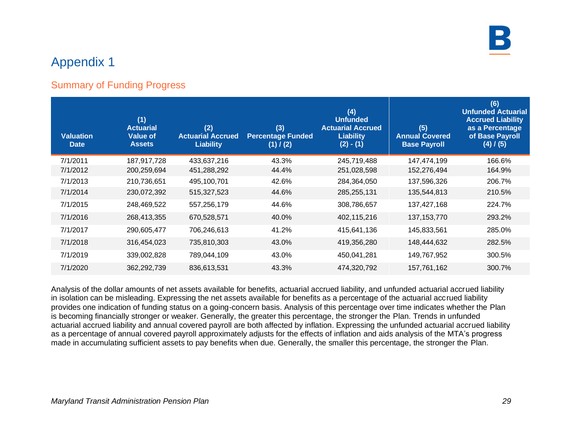

### Summary of Funding Progress

| <b>Valuation</b><br><b>Date</b> | (1)<br><b>Actuarial</b><br><b>Value of</b><br><b>Assets</b> | (2)<br><b>Actuarial Accrued</b><br><b>Liability</b> | (3)<br><b>Percentage Funded</b><br>(1) / (2) | (4)<br><b>Unfunded</b><br><b>Actuarial Accrued</b><br>Liability<br>$(2) - (1)$ | (5)<br><b>Annual Covered</b><br><b>Base Payroll</b> | (6)<br><b>Unfunded Actuarial</b><br><b>Accrued Liability</b><br>as a Percentage<br>of Base Payroll<br>(4) / (5) |
|---------------------------------|-------------------------------------------------------------|-----------------------------------------------------|----------------------------------------------|--------------------------------------------------------------------------------|-----------------------------------------------------|-----------------------------------------------------------------------------------------------------------------|
| 7/1/2011                        | 187,917,728                                                 | 433,637,216                                         | 43.3%                                        | 245,719,488                                                                    | 147,474,199                                         | 166.6%                                                                                                          |
| 7/1/2012                        | 200,259,694                                                 | 451,288,292                                         | 44.4%                                        | 251,028,598                                                                    | 152,276,494                                         | 164.9%                                                                                                          |
| 7/1/2013                        | 210,736,651                                                 | 495,100,701                                         | 42.6%                                        | 284,364,050                                                                    | 137,596,326                                         | 206.7%                                                                                                          |
| 7/1/2014                        | 230,072,392                                                 | 515,327,523                                         | 44.6%                                        | 285,255,131                                                                    | 135,544,813                                         | 210.5%                                                                                                          |
| 7/1/2015                        | 248,469,522                                                 | 557,256,179                                         | 44.6%                                        | 308,786,657                                                                    | 137,427,168                                         | 224.7%                                                                                                          |
| 7/1/2016                        | 268,413,355                                                 | 670,528,571                                         | 40.0%                                        | 402,115,216                                                                    | 137, 153, 770                                       | 293.2%                                                                                                          |
| 7/1/2017                        | 290,605,477                                                 | 706,246,613                                         | 41.2%                                        | 415,641,136                                                                    | 145,833,561                                         | 285.0%                                                                                                          |
| 7/1/2018                        | 316,454,023                                                 | 735,810,303                                         | 43.0%                                        | 419,356,280                                                                    | 148,444,632                                         | 282.5%                                                                                                          |
| 7/1/2019                        | 339,002,828                                                 | 789,044,109                                         | 43.0%                                        | 450,041,281                                                                    | 149,767,952                                         | 300.5%                                                                                                          |
| 7/1/2020                        | 362,292,739                                                 | 836,613,531                                         | 43.3%                                        | 474,320,792                                                                    | 157,761,162                                         | 300.7%                                                                                                          |

Analysis of the dollar amounts of net assets available for benefits, actuarial accrued liability, and unfunded actuarial accrued liability in isolation can be misleading. Expressing the net assets available for benefits as a percentage of the actuarial accrued liability provides one indication of funding status on a going-concern basis. Analysis of this percentage over time indicates whether the Plan is becoming financially stronger or weaker. Generally, the greater this percentage, the stronger the Plan. Trends in unfunded actuarial accrued liability and annual covered payroll are both affected by inflation. Expressing the unfunded actuarial accrued liability as a percentage of annual covered payroll approximately adjusts for the effects of inflation and aids analysis of the MTA's progress made in accumulating sufficient assets to pay benefits when due. Generally, the smaller this percentage, the stronger the Plan.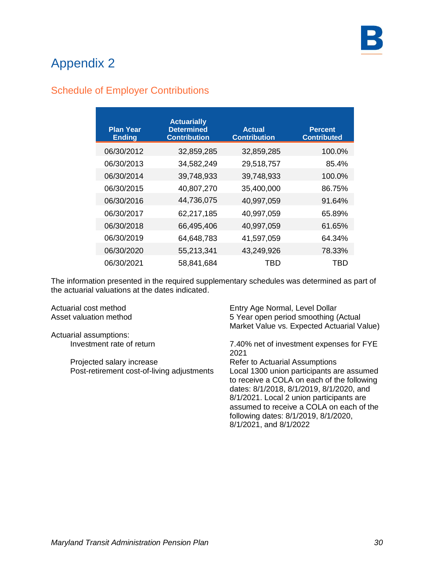## Schedule of Employer Contributions

| <b>Plan Year</b><br><b>Ending</b> | <b>Actuarially</b><br><b>Determined</b><br><b>Contribution</b> | <b>Actual</b><br><b>Contribution</b> | <b>Percent</b><br><b>Contributed</b> |
|-----------------------------------|----------------------------------------------------------------|--------------------------------------|--------------------------------------|
| 06/30/2012                        | 32,859,285                                                     | 32,859,285                           | 100.0%                               |
| 06/30/2013                        | 34,582,249                                                     | 29,518,757                           | 85.4%                                |
| 06/30/2014                        | 39,748,933                                                     | 39,748,933                           | 100.0%                               |
| 06/30/2015                        | 40,807,270                                                     | 35,400,000                           | 86.75%                               |
| 06/30/2016                        | 44,736,075                                                     | 40,997,059                           | 91.64%                               |
| 06/30/2017                        | 62,217,185                                                     | 40,997,059                           | 65.89%                               |
| 06/30/2018                        | 66,495,406                                                     | 40,997,059                           | 61.65%                               |
| 06/30/2019                        | 64,648,783                                                     | 41,597,059                           | 64.34%                               |
| 06/30/2020                        | 55,213,341                                                     | 43,249,926                           | 78.33%                               |
| 06/30/2021                        | 58,841,684                                                     | TBD                                  | TBD                                  |

The information presented in the required supplementary schedules was determined as part of the actuarial valuations at the dates indicated.

| Actuarial cost method                      | Entry Age Normal, Level Dollar                                                                                                                                                                                                                                                                |
|--------------------------------------------|-----------------------------------------------------------------------------------------------------------------------------------------------------------------------------------------------------------------------------------------------------------------------------------------------|
| Asset valuation method                     | 5 Year open period smoothing (Actual                                                                                                                                                                                                                                                          |
|                                            | Market Value vs. Expected Actuarial Value)                                                                                                                                                                                                                                                    |
| Actuarial assumptions:                     |                                                                                                                                                                                                                                                                                               |
| Investment rate of return                  | 7.40% net of investment expenses for FYE<br>2021                                                                                                                                                                                                                                              |
| Projected salary increase                  | Refer to Actuarial Assumptions                                                                                                                                                                                                                                                                |
| Post-retirement cost-of-living adjustments | Local 1300 union participants are assumed<br>to receive a COLA on each of the following<br>dates: 8/1/2018, 8/1/2019, 8/1/2020, and<br>8/1/2021. Local 2 union participants are<br>assumed to receive a COLA on each of the<br>following dates: 8/1/2019, 8/1/2020,<br>8/1/2021, and 8/1/2022 |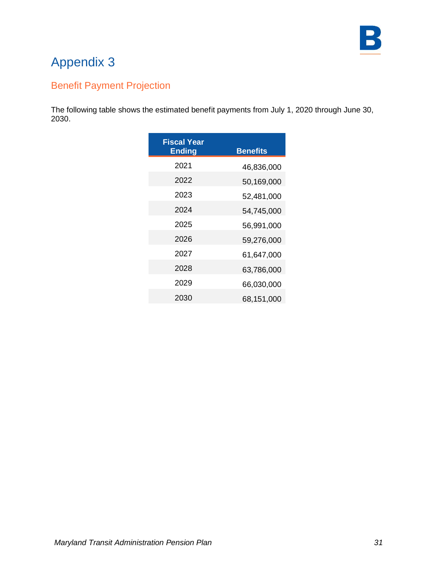

## Benefit Payment Projection

The following table shows the estimated benefit payments from July 1, 2020 through June 30, 2030.

| <b>Fiscal Year</b><br><b>Ending</b> | <b>Benefits</b> |
|-------------------------------------|-----------------|
| 2021                                | 46,836,000      |
| 2022                                | 50,169,000      |
| 2023                                | 52,481,000      |
| 2024                                | 54,745,000      |
| 2025                                | 56,991,000      |
| 2026                                | 59,276,000      |
| 2027                                | 61,647,000      |
| 2028                                | 63,786,000      |
| 2029                                | 66,030,000      |
| 2030                                | 68,151,000      |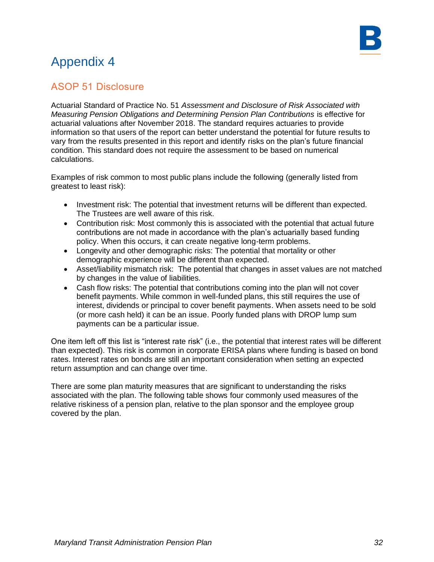### ASOP 51 Disclosure

Actuarial Standard of Practice No. 51 *Assessment and Disclosure of Risk Associated with Measuring Pension Obligations and Determining Pension Plan Contributions* is effective for actuarial valuations after November 2018. The standard requires actuaries to provide information so that users of the report can better understand the potential for future results to vary from the results presented in this report and identify risks on the plan's future financial condition. This standard does not require the assessment to be based on numerical calculations.

Examples of risk common to most public plans include the following (generally listed from greatest to least risk):

- Investment risk: The potential that investment returns will be different than expected. The Trustees are well aware of this risk.
- Contribution risk: Most commonly this is associated with the potential that actual future contributions are not made in accordance with the plan's actuarially based funding policy. When this occurs, it can create negative long-term problems.
- Longevity and other demographic risks: The potential that mortality or other demographic experience will be different than expected.
- Asset/liability mismatch risk: The potential that changes in asset values are not matched by changes in the value of liabilities.
- Cash flow risks: The potential that contributions coming into the plan will not cover benefit payments. While common in well-funded plans, this still requires the use of interest, dividends or principal to cover benefit payments. When assets need to be sold (or more cash held) it can be an issue. Poorly funded plans with DROP lump sum payments can be a particular issue.

One item left off this list is "interest rate risk" (i.e., the potential that interest rates will be different than expected). This risk is common in corporate ERISA plans where funding is based on bond rates. Interest rates on bonds are still an important consideration when setting an expected return assumption and can change over time.

There are some plan maturity measures that are significant to understanding the risks associated with the plan. The following table shows four commonly used measures of the relative riskiness of a pension plan, relative to the plan sponsor and the employee group covered by the plan.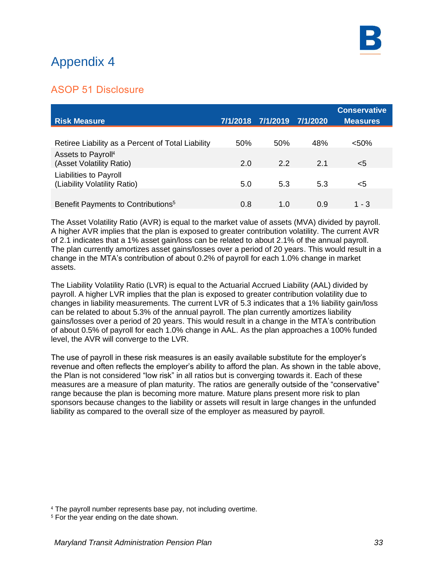### ASOP 51 Disclosure

| <b>Risk Measure</b>                                           | 7/1/2018 | 7/1/2019 | 7/1/2020 | <b>Conservative</b><br><b>Measures</b> |
|---------------------------------------------------------------|----------|----------|----------|----------------------------------------|
| Retiree Liability as a Percent of Total Liability             | 50%      | 50%      | 48%      | $< 50\%$                               |
| Assets to Payroll <sup>4</sup><br>(Asset Volatility Ratio)    | 2.0      | 22       | 2.1      | $<$ 5                                  |
| <b>Liabilities to Payroll</b><br>(Liability Volatility Ratio) | 5.0      | 5.3      | 5.3      | <5                                     |
| Benefit Payments to Contributions <sup>5</sup>                | 0.8      | 1.0      | 0.9      | $1 - 3$                                |

The Asset Volatility Ratio (AVR) is equal to the market value of assets (MVA) divided by payroll. A higher AVR implies that the plan is exposed to greater contribution volatility. The current AVR of 2.1 indicates that a 1% asset gain/loss can be related to about 2.1% of the annual payroll. The plan currently amortizes asset gains/losses over a period of 20 years. This would result in a change in the MTA's contribution of about 0.2% of payroll for each 1.0% change in market assets.

The Liability Volatility Ratio (LVR) is equal to the Actuarial Accrued Liability (AAL) divided by payroll. A higher LVR implies that the plan is exposed to greater contribution volatility due to changes in liability measurements. The current LVR of 5.3 indicates that a 1% liability gain/loss can be related to about 5.3% of the annual payroll. The plan currently amortizes liability gains/losses over a period of 20 years. This would result in a change in the MTA's contribution of about 0.5% of payroll for each 1.0% change in AAL. As the plan approaches a 100% funded level, the AVR will converge to the LVR.

The use of payroll in these risk measures is an easily available substitute for the employer's revenue and often reflects the employer's ability to afford the plan. As shown in the table above, the Plan is not considered "low risk" in all ratios but is converging towards it. Each of these measures are a measure of plan maturity. The ratios are generally outside of the "conservative" range because the plan is becoming more mature. Mature plans present more risk to plan sponsors because changes to the liability or assets will result in large changes in the unfunded liability as compared to the overall size of the employer as measured by payroll.

<sup>4</sup> The payroll number represents base pay, not including overtime.

<sup>5</sup> For the year ending on the date shown.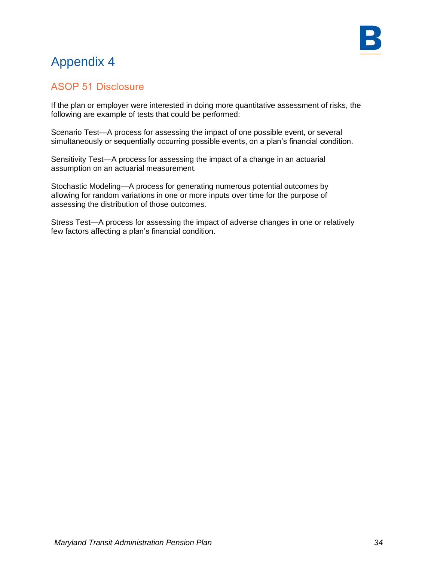



### ASOP 51 Disclosure

If the plan or employer were interested in doing more quantitative assessment of risks, the following are example of tests that could be performed:

Scenario Test—A process for assessing the impact of one possible event, or several simultaneously or sequentially occurring possible events, on a plan's financial condition.

Sensitivity Test—A process for assessing the impact of a change in an actuarial assumption on an actuarial measurement.

Stochastic Modeling—A process for generating numerous potential outcomes by allowing for random variations in one or more inputs over time for the purpose of assessing the distribution of those outcomes.

Stress Test—A process for assessing the impact of adverse changes in one or relatively few factors affecting a plan's financial condition.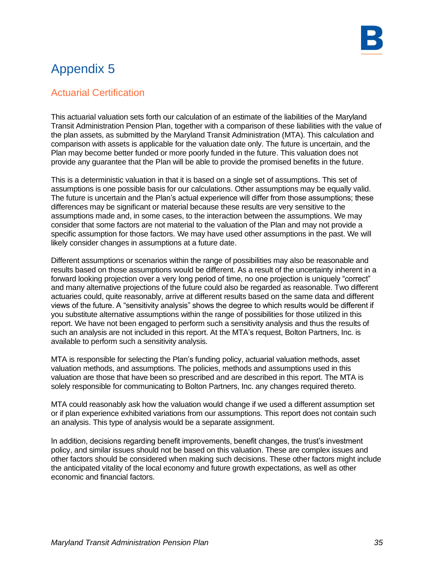### Actuarial Certification

This actuarial valuation sets forth our calculation of an estimate of the liabilities of the Maryland Transit Administration Pension Plan, together with a comparison of these liabilities with the value of the plan assets, as submitted by the Maryland Transit Administration (MTA). This calculation and comparison with assets is applicable for the valuation date only. The future is uncertain, and the Plan may become better funded or more poorly funded in the future. This valuation does not provide any guarantee that the Plan will be able to provide the promised benefits in the future.

This is a deterministic valuation in that it is based on a single set of assumptions. This set of assumptions is one possible basis for our calculations. Other assumptions may be equally valid. The future is uncertain and the Plan's actual experience will differ from those assumptions; these differences may be significant or material because these results are very sensitive to the assumptions made and, in some cases, to the interaction between the assumptions. We may consider that some factors are not material to the valuation of the Plan and may not provide a specific assumption for those factors. We may have used other assumptions in the past. We will likely consider changes in assumptions at a future date.

Different assumptions or scenarios within the range of possibilities may also be reasonable and results based on those assumptions would be different. As a result of the uncertainty inherent in a forward looking projection over a very long period of time, no one projection is uniquely "correct" and many alternative projections of the future could also be regarded as reasonable. Two different actuaries could, quite reasonably, arrive at different results based on the same data and different views of the future. A "sensitivity analysis" shows the degree to which results would be different if you substitute alternative assumptions within the range of possibilities for those utilized in this report. We have not been engaged to perform such a sensitivity analysis and thus the results of such an analysis are not included in this report. At the MTA's request, Bolton Partners, Inc. is available to perform such a sensitivity analysis.

MTA is responsible for selecting the Plan's funding policy, actuarial valuation methods, asset valuation methods, and assumptions. The policies, methods and assumptions used in this valuation are those that have been so prescribed and are described in this report. The MTA is solely responsible for communicating to Bolton Partners, Inc. any changes required thereto.

MTA could reasonably ask how the valuation would change if we used a different assumption set or if plan experience exhibited variations from our assumptions. This report does not contain such an analysis. This type of analysis would be a separate assignment.

In addition, decisions regarding benefit improvements, benefit changes, the trust's investment policy, and similar issues should not be based on this valuation. These are complex issues and other factors should be considered when making such decisions. These other factors might include the anticipated vitality of the local economy and future growth expectations, as well as other economic and financial factors.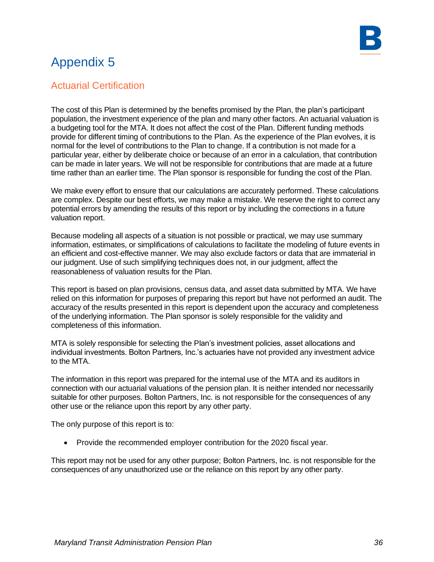### Actuarial Certification

The cost of this Plan is determined by the benefits promised by the Plan, the plan's participant population, the investment experience of the plan and many other factors. An actuarial valuation is a budgeting tool for the MTA. It does not affect the cost of the Plan. Different funding methods provide for different timing of contributions to the Plan. As the experience of the Plan evolves, it is normal for the level of contributions to the Plan to change. If a contribution is not made for a particular year, either by deliberate choice or because of an error in a calculation, that contribution can be made in later years. We will not be responsible for contributions that are made at a future time rather than an earlier time. The Plan sponsor is responsible for funding the cost of the Plan.

We make every effort to ensure that our calculations are accurately performed. These calculations are complex. Despite our best efforts, we may make a mistake. We reserve the right to correct any potential errors by amending the results of this report or by including the corrections in a future valuation report.

Because modeling all aspects of a situation is not possible or practical, we may use summary information, estimates, or simplifications of calculations to facilitate the modeling of future events in an efficient and cost-effective manner. We may also exclude factors or data that are immaterial in our judgment. Use of such simplifying techniques does not, in our judgment, affect the reasonableness of valuation results for the Plan.

This report is based on plan provisions, census data, and asset data submitted by MTA. We have relied on this information for purposes of preparing this report but have not performed an audit. The accuracy of the results presented in this report is dependent upon the accuracy and completeness of the underlying information. The Plan sponsor is solely responsible for the validity and completeness of this information.

MTA is solely responsible for selecting the Plan's investment policies, asset allocations and individual investments. Bolton Partners, Inc.'s actuaries have not provided any investment advice to the MTA.

The information in this report was prepared for the internal use of the MTA and its auditors in connection with our actuarial valuations of the pension plan. It is neither intended nor necessarily suitable for other purposes. Bolton Partners, Inc. is not responsible for the consequences of any other use or the reliance upon this report by any other party.

The only purpose of this report is to:

• Provide the recommended employer contribution for the 2020 fiscal year.

This report may not be used for any other purpose; Bolton Partners, Inc. is not responsible for the consequences of any unauthorized use or the reliance on this report by any other party.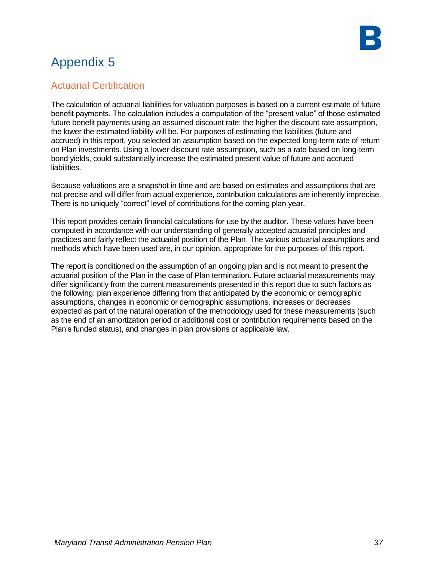

### Actuarial Certification

The calculation of actuarial liabilities for valuation purposes is based on a current estimate of future benefit payments. The calculation includes a computation of the "present value" of those estimated future benefit payments using an assumed discount rate; the higher the discount rate assumption, the lower the estimated liability will be. For purposes of estimating the liabilities (future and accrued) in this report, you selected an assumption based on the expected long-term rate of return on Plan investments. Using a lower discount rate assumption, such as a rate based on long-term bond yields, could substantially increase the estimated present value of future and accrued liabilities.

Because valuations are a snapshot in time and are based on estimates and assumptions that are not precise and will differ from actual experience, contribution calculations are inherently imprecise. There is no uniquely "correct" level of contributions for the coming plan year.

This report provides certain financial calculations for use by the auditor. These values have been computed in accordance with our understanding of generally accepted actuarial principles and practices and fairly reflect the actuarial position of the Plan. The various actuarial assumptions and methods which have been used are, in our opinion, appropriate for the purposes of this report.

The report is conditioned on the assumption of an ongoing plan and is not meant to present the actuarial position of the Plan in the case of Plan termination. Future actuarial measurements may differ significantly from the current measurements presented in this report due to such factors as the following: plan experience differing from that anticipated by the economic or demographic assumptions, changes in economic or demographic assumptions, increases or decreases expected as part of the natural operation of the methodology used for these measurements (such as the end of an amortization period or additional cost or contribution requirements based on the Plan's funded status), and changes in plan provisions or applicable law.